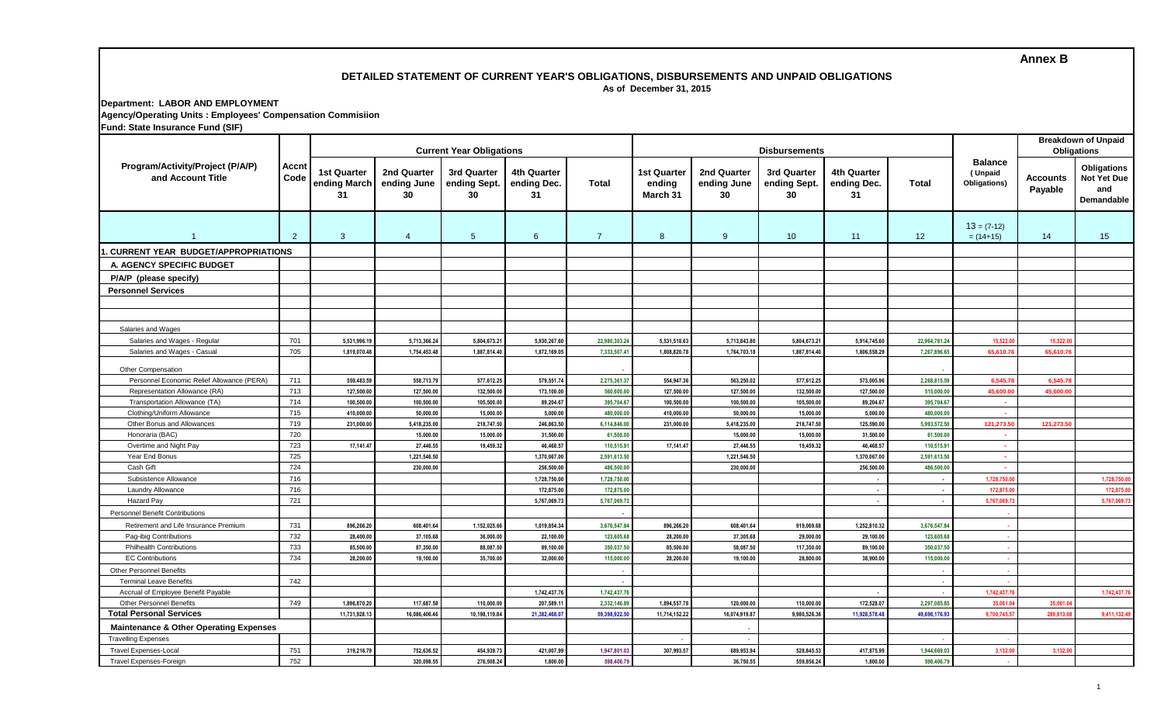# **Annex B**

#### **DETAILED STATEMENT OF CURRENT YEAR'S OBLIGATIONS, DISBURSEMENTS AND UNPAID OBLIGATIONS As of December 31, 2015**

#### **Department: LABOR AND EMPLOYMENT Agency/Operating Units : Employees' Compensation Commisiion Fund: State Insurance Fund (SIF)**

| Program/Activity/Project (P/A/P)<br>and Account Title       | Accnt<br>Code | <b>Current Year Obligations</b>          |                              |                                               |                                  |                               |                                   |                                  | <b>Disbursements</b>              |                                         | <b>Breakdown of Unpaid</b><br><b>Obligations</b> |                                           |                      |                                                 |
|-------------------------------------------------------------|---------------|------------------------------------------|------------------------------|-----------------------------------------------|----------------------------------|-------------------------------|-----------------------------------|----------------------------------|-----------------------------------|-----------------------------------------|--------------------------------------------------|-------------------------------------------|----------------------|-------------------------------------------------|
|                                                             |               | <b>1st Quarter</b><br>ending March<br>31 | 2nd Quarter<br>30            | 3rd Quarter<br>ending June ending Sept.<br>30 | 4th Quarter<br>ending Dec.<br>31 | <b>Total</b>                  | 1st Quarter<br>ending<br>March 31 | 2nd Quarter<br>ending June<br>30 | 3rd Quarter<br>ending Sept.<br>30 | <b>4th Quarter</b><br>ending Dec.<br>31 | <b>Total</b>                                     | <b>Balance</b><br>(Unpaid<br>Obligations) | Accounts<br>Payable  | Obligations<br>Not Yet Due<br>and<br>Demandable |
|                                                             | $2^{\circ}$   | $\mathbf{3}$                             | $\overline{4}$               | $5\phantom{.0}$                               | 6                                | $\overline{7}$                | 8                                 | 9                                | 10                                | 11                                      | 12                                               | $13 = (7-12)$<br>$= (14+15)$              | 14                   | 15 <sub>15</sub>                                |
| <b>CURRENT YEAR BUDGET/APPROPRIATIONS</b>                   |               |                                          |                              |                                               |                                  |                               |                                   |                                  |                                   |                                         |                                                  |                                           |                      |                                                 |
| A. AGENCY SPECIFIC BUDGET                                   |               |                                          |                              |                                               |                                  |                               |                                   |                                  |                                   |                                         |                                                  |                                           |                      |                                                 |
| P/A/P (please specify)                                      |               |                                          |                              |                                               |                                  |                               |                                   |                                  |                                   |                                         |                                                  |                                           |                      |                                                 |
| <b>Personnel Services</b>                                   |               |                                          |                              |                                               |                                  |                               |                                   |                                  |                                   |                                         |                                                  |                                           |                      |                                                 |
|                                                             |               |                                          |                              |                                               |                                  |                               |                                   |                                  |                                   |                                         |                                                  |                                           |                      |                                                 |
|                                                             |               |                                          |                              |                                               |                                  |                               |                                   |                                  |                                   |                                         |                                                  |                                           |                      |                                                 |
|                                                             |               |                                          |                              |                                               |                                  |                               |                                   |                                  |                                   |                                         |                                                  |                                           |                      |                                                 |
| Salaries and Wages                                          |               |                                          |                              |                                               |                                  |                               |                                   |                                  |                                   |                                         |                                                  |                                           |                      |                                                 |
| Salaries and Wages - Regular<br>Salaries and Wages - Casual | 701<br>705    | 5,531,996.19<br>1,819,070.48             | 5,713,366.24<br>1,754,453.48 | 5,804,673.21<br>1,887,814.40                  | 5,930,267.60<br>1,872,169.05     | 22,980,303.24<br>7,333,507.41 | 5,531,518.63<br>1.808.820.7       | 5,713,843.80<br>1,764,703.18     | 5,804,673.21<br>1,887,814.40      | 5,914,745.60<br>1,806,558.29            | 22,964,781.24<br>7,267,896.65                    | 15,522.0<br>65,610.7                      | 15,522.0<br>65,610.7 |                                                 |
|                                                             |               |                                          |                              |                                               |                                  |                               |                                   |                                  |                                   |                                         |                                                  |                                           |                      |                                                 |
| Other Compensation                                          |               |                                          |                              |                                               |                                  |                               |                                   |                                  |                                   |                                         |                                                  |                                           |                      |                                                 |
| Personnel Economic Relief Allowance (PERA)                  | 711           | 559,483.59                               | 558,713.79                   | 577,612.25                                    | 579,551.74                       | 2,275,361.37                  | 554,947.3                         | 563,250.02                       | 577,612.25                        | 573,005.96                              | 2,268,815.59                                     | 6.545.7                                   | 6,545.7              |                                                 |
| Representation Allowance (RA)                               | 713           | 127,500.00                               | 127,500.00                   | 132,500.00                                    | 173,100.00                       | 560,600.00                    | 127,500.00                        | 127,500.00                       | 132,500.00                        | 127,500.00                              | 515,000.00                                       | 45,600.0                                  | 45,600.00            |                                                 |
| Transportation Allowance (TA)                               | 714           | 100.500.00                               | 100.500.00                   | 105.500.00                                    | 89,204.67                        | 395,704.67                    | 100.500.00                        | 100,500.00                       | 105.500.00                        | 89,204.67                               | 395,704.67                                       | $\sim$                                    |                      |                                                 |
| Clothing/Uniform Allowance                                  | 715           | 410,000.00                               | 50.000.00                    | 15,000.00                                     | 5,000.00                         | 480.000.0                     | 410.000.00                        | 50,000.00                        | 15,000.00                         | 5.000.00                                | 480,000.00                                       | $\sim$                                    |                      |                                                 |
| Other Bonus and Allowances<br>Honoraria (BAC)               | 719<br>720    | 231,000.00                               | 5,418,235.00<br>15,000.00    | 218,747.50<br>15,000.00                       | 246,863.50<br>31,500.00          | 6,114,846.0<br>61,500.00      | 231,000.00                        | 5,418,235.00<br>15,000.00        | 218,747.50<br>15,000.00           | 125,590.00<br>31,500.00                 | 5,993,572.50<br>61,500.00                        | 121,273.5<br>$\sim$                       | 121,273.5            |                                                 |
| Overtime and Night Pay                                      | 723           | 17,141.47                                | 27,446.55                    | 19,459.32                                     | 46,468.57                        | 110,515.9                     | 17,141.47                         | 27,446.55                        | 19.459.32                         | 46,468.57                               | 110,515.91                                       | $\sim$                                    |                      |                                                 |
| Year End Bonus                                              | 725           |                                          | 1,221,546.50                 |                                               | 1,370,067.00                     | 2,591,613.5                   |                                   | 1,221,546.50                     |                                   | 1,370,067.00                            | 2,591,613.50                                     | o.                                        |                      |                                                 |
| Cash Gift                                                   | 724           |                                          | 230.000.00                   |                                               | 256,500.00                       | 486,500.0                     |                                   | 230.000.00                       |                                   | 256.500.00                              | 486,500.0                                        | ÷.                                        |                      |                                                 |
| Subsistence Allowance                                       | 716           |                                          |                              |                                               | 1,728,750.00                     | 1,728,750.0                   |                                   |                                  |                                   | $\sim$                                  | $\overline{\phantom{a}}$                         | 1,728,750.                                |                      | 1,728,750.0                                     |
| Laundry Allowance                                           | 716           |                                          |                              |                                               | 172,875.00                       | 172,875.00                    |                                   |                                  |                                   | $\ddot{\phantom{a}}$                    |                                                  | 172,875.0                                 |                      | 172,875.0                                       |
| Hazard Pay                                                  | 721           |                                          |                              |                                               | 5,767,069.73                     | 5,767,069.7                   |                                   |                                  |                                   | $\ddot{\phantom{a}}$                    |                                                  | 5,767,069.7                               |                      | 5,767,069.73                                    |
| Personnel Benefit Contributions                             |               |                                          |                              |                                               |                                  |                               |                                   |                                  |                                   |                                         |                                                  |                                           |                      |                                                 |
| Retirement and Life Insurance Premium                       | 731           | 896,266.20                               | 608,401.64                   | 1,152,025.66                                  | 1,019,854.34                     | 3,676,547.84                  | 896,266.20                        | 608,401.64                       | 919,069.68                        | 1,252,810.32                            | 3,676,547.84                                     |                                           |                      |                                                 |
| Pag-ibig Contributions                                      | 732           | 28,400.00                                | 37,105.68                    | 36,000.00                                     | 22,100.00                        | 123,605.68                    | 28,200.00                         | 37,305.68                        | 29,000.00                         | 29,100.00                               | 123,605.68                                       | - 1                                       |                      |                                                 |
| <b>Philhealth Contributions</b>                             | 733           | 85,500.00                                | 87.350.00                    | 88.087.50                                     | 89,100.00                        | 350,037.50                    | 85.500.00                         | 58,087.50                        | 117.350.00                        | 89,100.00                               | 350,037.50                                       | - 1                                       |                      |                                                 |
| <b>EC Contributions</b>                                     | 734           | 28,200.00                                | 19,100.00                    | 35,700.00                                     | 32,000.00                        | 115,000.00                    | 28,200.00                         | 19,100.00                        | 28,800.00                         | 38,900.00                               | 115,000.00                                       | - 4                                       |                      |                                                 |
| <b>Other Personnel Benefits</b>                             |               |                                          |                              |                                               |                                  |                               |                                   |                                  |                                   |                                         |                                                  |                                           |                      |                                                 |
| <b>Terminal Leave Benefits</b>                              | 742           |                                          |                              |                                               |                                  |                               |                                   |                                  |                                   |                                         |                                                  |                                           |                      |                                                 |
| Accrual of Employee Benefit Payable                         |               |                                          |                              |                                               | 1,742,437.76                     | 1,742,437.76                  |                                   |                                  |                                   |                                         |                                                  | 1,742,437.                                |                      | 1,742,437.7                                     |
| <b>Other Personnel Benefits</b>                             | 749           | 1.896.870.20                             | 117,687.58                   | 110.000.00                                    | 207,589.11                       | 2,332,146.89                  | 1,894,557.7                       | 120,000.0                        | 110.000.00                        | 172.528.07                              | 2,297,085.8                                      | 35.061.                                   | 35.061.0             |                                                 |
| <b>Total Personal Services</b>                              |               | 11,731,928.13                            | 16.086.406.40                | 10.198.119.84                                 | 21,382,468.07                    | 59,398,922.50                 | 11.714.152.22                     | 16.074.919.87                    | 9,980,526.36                      | 11.928.578.48                           | 49,698,176.93                                    | 9,700,745.5                               | 289.613.0            | 9,411,132.49                                    |
| <b>Maintenance &amp; Other Operating Expenses</b>           |               |                                          |                              |                                               |                                  |                               |                                   |                                  |                                   |                                         |                                                  |                                           |                      |                                                 |
| <b>Travelling Expenses</b>                                  |               |                                          |                              |                                               |                                  |                               |                                   |                                  |                                   |                                         |                                                  |                                           |                      |                                                 |
| <b>Travel Expenses-Local</b>                                | 751           | 319,216.79                               | 752,636.52                   | 454,939.73                                    | 421,007.99                       | 1,947,801.0                   | 307,993.57                        | 689,953.94                       | 528,845.53                        | 417,875.99                              | 1,944,669.03                                     | 3,132.0                                   | 3,132.00             |                                                 |
| Travel Expenses-Foreign                                     | 752           |                                          | 320,098.55                   | 276,508.24                                    | 1.800.00                         | 598,406.79                    |                                   | 36,750.55                        | 559,856.24                        | 1,800.00                                | 598,406.79                                       | ٠.                                        |                      |                                                 |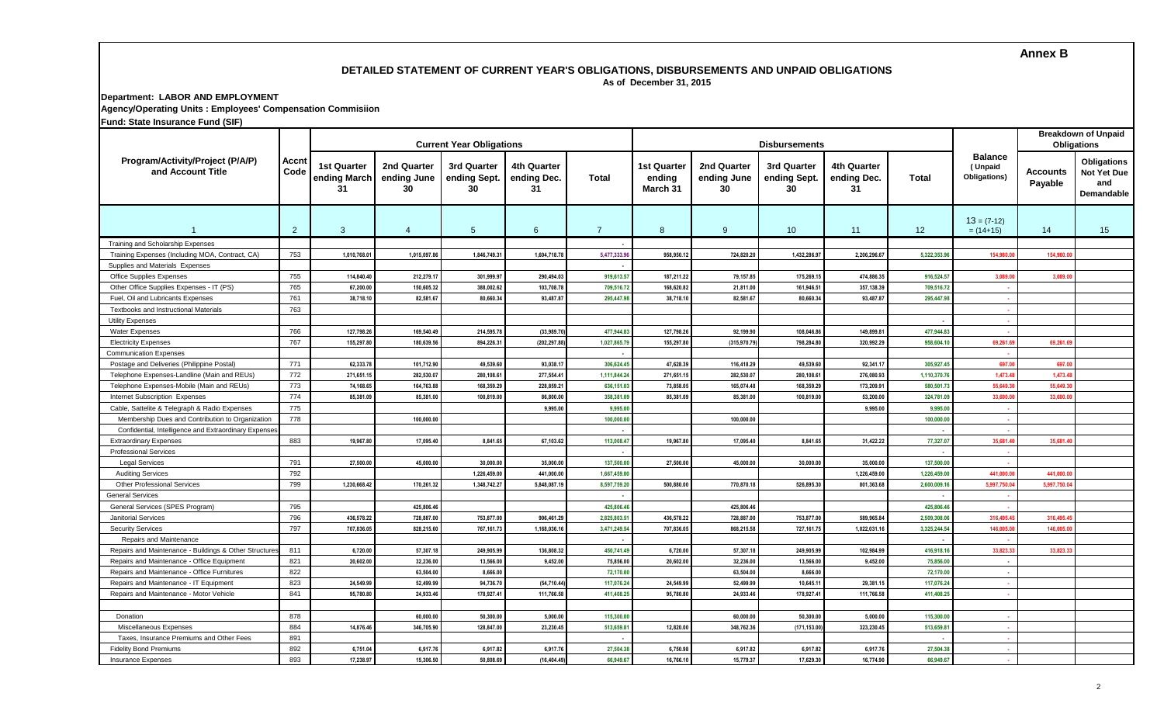# **Annex B**

### **DETAILED STATEMENT OF CURRENT YEAR'S OBLIGATIONS, DISBURSEMENTS AND UNPAID OBLIGATIONS As of December 31, 2015**

**Department: LABOR AND EMPLOYMENT Agency/Operating Units : Employees' Compensation Commisiion**

**Fund: State Insurance Fund (SIF)**

|                                                        |                |                                                      |                   | <b>Current Year Obligations</b>   |                                  |                |                                          |                                  | <b>Disbursements</b>              |                                  | <b>Breakdown of Unpaid</b><br><b>Obligations</b> |                                           |                     |                                                        |
|--------------------------------------------------------|----------------|------------------------------------------------------|-------------------|-----------------------------------|----------------------------------|----------------|------------------------------------------|----------------------------------|-----------------------------------|----------------------------------|--------------------------------------------------|-------------------------------------------|---------------------|--------------------------------------------------------|
| Program/Activity/Project (P/A/P)<br>and Account Title  | Accnt<br>Code  | <b>1st Quarter</b><br>ending March ending June<br>31 | 2nd Quarter<br>30 | 3rd Quarter<br>ending Sept.<br>30 | 4th Quarter<br>ending Dec.<br>31 | Total          | <b>1st Quarter</b><br>ending<br>March 31 | 2nd Quarter<br>ending June<br>30 | 3rd Quarter<br>ending Sept.<br>30 | 4th Quarter<br>ending Dec.<br>31 | Total                                            | <b>Balance</b><br>(Unpaid<br>Obligations) | Accounts<br>Payable | <b>Obligations</b><br>Not Yet Due<br>and<br>Demandable |
|                                                        | $\overline{2}$ | $\mathbf{3}$                                         | $\overline{4}$    | $5\overline{)}$                   | 6                                | $\overline{7}$ | 8                                        | 9                                | 10 <sup>°</sup>                   | 11                               | 12                                               | $13 = (7-12)$<br>$= (14+15)$              | 14                  | 15                                                     |
| Training and Scholarship Expenses                      |                |                                                      |                   |                                   |                                  |                |                                          |                                  |                                   |                                  |                                                  |                                           |                     |                                                        |
| Training Expenses (Including MOA, Contract, CA)        | 753            | 1,010,768.01                                         | 1.015.097.8       | 1.846.749.31                      | 1,604,718.78                     | 5.477.333.9    | 958.950.12                               | 724.820.20                       | 1.432.286.97                      | 2.206.296.67                     | 5.322.353.9                                      | 154,980.0                                 | 154.980.0           |                                                        |
| Supplies and Materials Expenses                        |                |                                                      |                   |                                   |                                  |                |                                          |                                  |                                   |                                  |                                                  |                                           |                     |                                                        |
| <b>Office Supplies Expenses</b>                        | 755            | 114,840.40                                           | 212,279.1         | 301,999.9                         | 290,494.03                       | 919,613.5      | 187,211.22                               | 79,157.85                        | 175,269.1                         | 474,886.35                       | 916,524.57                                       | 3,089.0                                   | 3,089.0             |                                                        |
| Other Office Supplies Expenses - IT (PS)               | 765            | 67,200.00                                            | 150,605.3         | 388,002.62                        | 103,708.78                       | 709,516.72     | 168,620.82                               | 21,811.00                        | 161,946.5                         | 357,138.39                       | 709,516.72                                       |                                           |                     |                                                        |
| Fuel, Oil and Lubricants Expenses                      | 761            | 38,718.10                                            | 82,581.6          | 80,660.3                          | 93,487.87                        | 295,447.9      | 38,718.1                                 | 82,581.67                        | 80,660.34                         | 93,487.87                        | 295,447.98                                       | ٠.                                        |                     |                                                        |
| Textbooks and Instructional Materials                  | 763            |                                                      |                   |                                   |                                  |                |                                          |                                  |                                   |                                  |                                                  |                                           |                     |                                                        |
| <b>Utility Expenses</b>                                |                |                                                      |                   |                                   |                                  |                |                                          |                                  |                                   |                                  |                                                  |                                           |                     |                                                        |
| <b>Water Expenses</b>                                  | 766            | 127.798.26                                           | 169.540.49        | 214.595.78                        | (33,989.70)                      | 477.944.83     | 127,798.26                               | 92.199.90                        | 108.046.8                         | 149.899.81                       | 477.944.83                                       |                                           |                     |                                                        |
| <b>Electricity Expenses</b>                            | 767            | 155.297.80                                           | 180.639.5         | 894,226.3                         | (202,297.88                      | 1,027,865.79   | 155.297.80                               | (315,970.79                      | 798.284.80                        | 320.992.29                       | 958.604.1                                        | 69.261.6                                  | 69.261.6            |                                                        |
| <b>Communication Expenses</b>                          |                |                                                      |                   |                                   |                                  |                |                                          |                                  |                                   |                                  |                                                  |                                           |                     |                                                        |
| Postage and Deliveries (Philippine Postal)             | 771            | 62,333.78                                            | 101,712.90        | 49,539.6                          | 93,038.17                        | 306,624.45     | 47,628.39                                | 116,418.29                       | 49,539.60                         | 92,341.17                        | 305,927.45                                       | 697.0                                     | 697.00              |                                                        |
| Telephone Expenses-Landline (Main and REUs)            | 772            | 271,651.15                                           | 282,530.07        | 280,108.6                         | 277,554.41                       | 1,111,844.24   | 271,651.1                                | 282,530.07                       | 280,108.6                         | 276,080.93                       | 1,110,370.76                                     | 1,473.4                                   | 1,473.48            |                                                        |
| Telephone Expenses-Mobile (Main and REUs)              | 773            | 74,168.65                                            | 164,763.88        | 168,359.29                        | 228,859.21                       | 636,151.03     | 73.858.05                                | 165,074.48                       | 168,359.29                        | 173,209.91                       | 580,501.73                                       | 55.649.3                                  | 55.649.3            |                                                        |
| Internet Subscription Expenses                         | 774            | 85,381.09                                            | 85,381.0          | 100,819.00                        | 86,800.00                        | 358,381.09     | 85.381.09                                | 85,381.00                        | 100,819.00                        | 53,200.00                        | 324,781.09                                       | 33,600.0                                  | 33,600.0            |                                                        |
| Cable, Sattelite & Telegraph & Radio Expenses          | 775            |                                                      |                   |                                   | 9,995.00                         | 9,995.00       |                                          |                                  |                                   | 9.995.00                         | 9,995.00                                         |                                           |                     |                                                        |
| Membership Dues and Contribution to Organization       | 778            |                                                      | 100,000.0         |                                   |                                  | 100,000.00     |                                          | 100,000.00                       |                                   |                                  | 100,000.00                                       | - 4                                       |                     |                                                        |
| Confidential, Intelligence and Extraordinary Expenses  |                |                                                      |                   |                                   |                                  |                |                                          |                                  |                                   |                                  |                                                  |                                           |                     |                                                        |
| <b>Extraordinary Expenses</b>                          | 883            | 19,967.80                                            | 17,095.40         | 8,841.65                          | 67,103.62                        | 113,008.47     | 19,967.80                                | 17,095.40                        | 8,841.65                          | 31,422.22                        | 77,327.07                                        | 35,681.4                                  | 35,681.4            |                                                        |
| <b>Professional Services</b>                           |                |                                                      |                   |                                   |                                  |                |                                          |                                  |                                   |                                  |                                                  |                                           |                     |                                                        |
| <b>Legal Services</b>                                  | 791            | 27,500.00                                            | 45.000.0          | 30.000.00                         | 35,000.00                        | 137,500.0      | 27,500.00                                | 45.000.00                        | 30.000.00                         | 35.000.00                        | 137,500.00                                       |                                           |                     |                                                        |
| <b>Auditing Services</b>                               | 792            |                                                      |                   | 1,226,459.0                       | 441,000.00                       | 1,667,459.00   |                                          |                                  |                                   | 1,226,459.00                     | 1,226,459.00                                     | 441.000.0                                 | 441.000.0           |                                                        |
| <b>Other Professional Services</b>                     | 799            | 1,230,668.42                                         | 170,261.3         | 1,348,742.2                       | 5,848,087.19                     | 8,597,759.2    | 500,880.00                               | 770,870.18                       | 526,895.30                        | 801,363.68                       | 2,600,009.1                                      | 5,997,750.0                               | 5,997,750.0         |                                                        |
| <b>General Services</b>                                |                |                                                      |                   |                                   |                                  |                |                                          |                                  |                                   |                                  |                                                  |                                           |                     |                                                        |
| General Services (SPES Program)                        | 795            |                                                      | 425,806.4         |                                   |                                  | 425,806.4      |                                          | 425,806.46                       |                                   |                                  | 425,806.4                                        |                                           |                     |                                                        |
| <b>Janitorial Services</b>                             | 796            | 436.578.22                                           | 728.887.0         | 753.877.00                        | 906.461.29                       | 2.825.803.5    | 436.578.22                               | 728.887.00                       | 753.877.00                        | 589.965.84                       | 2.509.308.0                                      | 316.495.4                                 | 316,495.4           |                                                        |
| <b>Security Services</b>                               | 797            | 707.836.05                                           | 828.215.6         | 767.161.7                         | 1,168,036.16                     | 3.471.249.54   | 707.836.05                               | 868,215.58                       | 727.161.7                         | 1.022.031.16                     | 3,325,244.54                                     | 146.005.0                                 | 146.005.0           |                                                        |
| Repairs and Maintenance                                |                |                                                      |                   |                                   |                                  |                |                                          |                                  |                                   |                                  |                                                  |                                           |                     |                                                        |
| Repairs and Maintenance - Buildings & Other Structures | 811            | 6.720.00                                             | 57,307.1          | 249,905.99                        | 136,808.32                       | 450,741.49     | 6.720.00                                 | 57,307.18                        | 249,905.99                        | 102.984.99                       | 416,918.16                                       | 33.823.3                                  | 33.823.3            |                                                        |
| Repairs and Maintenance - Office Equipment             | 821            | 20,602.00                                            | 32,236.00         | 13,566.00                         | 9,452.00                         | 75,856.00      | 20,602.00                                | 32,236.00                        | 13,566.00                         | 9,452.00                         | 75,856.00                                        | - 1                                       |                     |                                                        |
| Repairs and Maintenance - Office Furnitures            | 822            |                                                      | 63,504.0          | 8,666.00                          |                                  | 72,170.00      |                                          | 63,504.00                        | 8,666.00                          |                                  | 72,170.00                                        | ٠.                                        |                     |                                                        |
| Repairs and Maintenance - IT Equipment                 | 823            | 24,549.99                                            | 52,499.99         | 94,736.7                          | (54, 710.44)                     | 117,076.24     | 24,549.99                                | 52,499.99                        | 10,645.11                         | 29,381.15                        | 117,076.24                                       | - 1                                       |                     |                                                        |
| Repairs and Maintenance - Motor Vehicle                | 841            | 95,780.80                                            | 24,933.4          | 178,927.4                         | 111,766.58                       | 411.408.25     | 95,780.80                                | 24,933.46                        | 178,927.41                        | 111,766.58                       | 411,408.25                                       | ٠.                                        |                     |                                                        |
|                                                        |                |                                                      |                   |                                   |                                  |                |                                          |                                  |                                   |                                  |                                                  |                                           |                     |                                                        |
| Donation                                               | 878            |                                                      | 60,000.0          | 50,300.00                         | 5,000.00                         | 115,300.00     |                                          | 60,000.00                        | 50,300.0                          | 5,000.00                         | 115,300.00                                       | ٠.                                        |                     |                                                        |
| Miscellaneous Expenses                                 | 884            | 14,876.46                                            | 346,705.90        | 128,847.00                        | 23,230.45                        | 513,659.81     | 12,820.00                                | 348,762.36                       | (171,153.00                       | 323,230.45                       | 513,659.81                                       | - 4                                       |                     |                                                        |
| Taxes, Insurance Premiums and Other Fees               | 891            |                                                      |                   |                                   |                                  |                |                                          |                                  |                                   |                                  |                                                  | ٠.                                        |                     |                                                        |
| <b>Fidelity Bond Premiums</b>                          | 892            | 6,751.04                                             | 6,917.7           | 6,917.82                          | 6,917.76                         | 27,504.38      | 6,750.98                                 | 6,917.82                         | 6,917.82                          | 6,917.76                         | 27,504.38                                        | ٠.                                        |                     |                                                        |
| <b>Insurance Expenses</b>                              | 893            | 17.238.97                                            | 15,306.50         | 50.808.69                         | (16.404.49)                      | 66.949.67      | 16.766.10                                | 15,779.37                        | 17,629.30                         | 16.774.90                        | 66,949.67                                        |                                           |                     |                                                        |